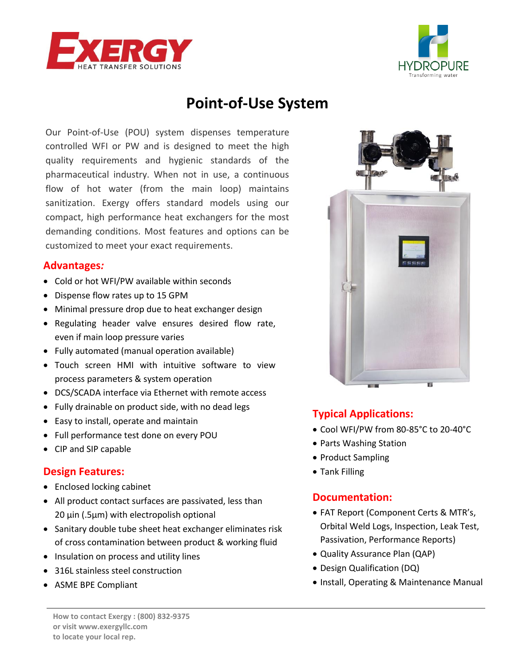



## **Point-of-Use System**

Our Point-of-Use (POU) system dispenses temperature controlled WFI or PW and is designed to meet the high quality requirements and hygienic standards of the pharmaceutical industry. When not in use, a continuous flow of hot water (from the main loop) maintains sanitization. Exergy offers standard models using our compact, high performance heat exchangers for the most demanding conditions. Most features and options can be customized to meet your exact requirements.

## **Advantages***:*

- Cold or hot WFI/PW available within seconds
- Dispense flow rates up to 15 GPM
- Minimal pressure drop due to heat exchanger design
- Regulating header valve ensures desired flow rate, even if main loop pressure varies
- Fully automated (manual operation available)
- Touch screen HMI with intuitive software to view process parameters & system operation
- DCS/SCADA interface via Ethernet with remote access
- Fully drainable on product side, with no dead legs
- Easy to install, operate and maintain
- Full performance test done on every POU
- CIP and SIP capable

### **Design Features:**

- Enclosed locking cabinet
- All product contact surfaces are passivated, less than 20 μin (.5μm) with electropolish optional
- Sanitary double tube sheet heat exchanger eliminates risk of cross contamination between product & working fluid
- Insulation on process and utility lines
- 316L stainless steel construction
- ASME BPE Compliant



## **Typical Applications:**

- Cool WFI/PW from 80-85°C to 20-40°C
- Parts Washing Station
- Product Sampling
- Tank Filling

### **Documentation:**

- FAT Report (Component Certs & MTR's, Orbital Weld Logs, Inspection, Leak Test, Passivation, Performance Reports)
- Quality Assurance Plan (QAP)
- Design Qualification (DQ)
- Install, Operating & Maintenance Manual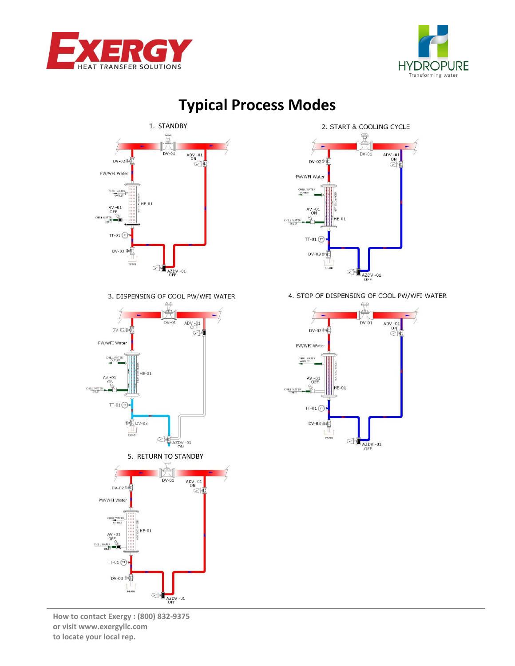





3. DISPENSING OF COOL PW/WFI WATER





4. STOP OF DISPENSING OF COOL PW/WFI WATER



**How to contact Exergy : (800) 832-9375 or visit www.exergyllc.com to locate your local rep.**

# **Typical Process Modes**